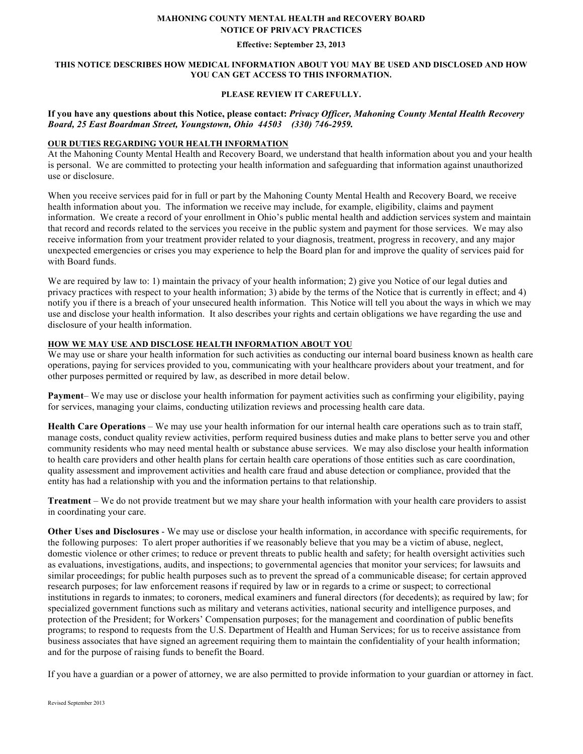#### **MAHONING COUNTY MENTAL HEALTH and RECOVERY BOARD NOTICE OF PRIVACY PRACTICES**

#### **Effective: September 23, 2013**

#### **THIS NOTICE DESCRIBES HOW MEDICAL INFORMATION ABOUT YOU MAY BE USED AND DISCLOSED AND HOW YOU CAN GET ACCESS TO THIS INFORMATION.**

# **PLEASE REVIEW IT CAREFULLY.**

### **If you have any questions about this Notice, please contact:** *Privacy Officer, Mahoning County Mental Health Recovery Board, 25 East Boardman Street, Youngstown, Ohio 44503 (330) 746-2959.*

#### **OUR DUTIES REGARDING YOUR HEALTH INFORMATION**

At the Mahoning County Mental Health and Recovery Board, we understand that health information about you and your health is personal. We are committed to protecting your health information and safeguarding that information against unauthorized use or disclosure.

When you receive services paid for in full or part by the Mahoning County Mental Health and Recovery Board, we receive health information about you. The information we receive may include, for example, eligibility, claims and payment information. We create a record of your enrollment in Ohio's public mental health and addiction services system and maintain that record and records related to the services you receive in the public system and payment for those services. We may also receive information from your treatment provider related to your diagnosis, treatment, progress in recovery, and any major unexpected emergencies or crises you may experience to help the Board plan for and improve the quality of services paid for with Board funds.

We are required by law to: 1) maintain the privacy of your health information; 2) give you Notice of our legal duties and privacy practices with respect to your health information; 3) abide by the terms of the Notice that is currently in effect; and 4) notify you if there is a breach of your unsecured health information. This Notice will tell you about the ways in which we may use and disclose your health information. It also describes your rights and certain obligations we have regarding the use and disclosure of your health information.

#### **HOW WE MAY USE AND DISCLOSE HEALTH INFORMATION ABOUT YOU**

We may use or share your health information for such activities as conducting our internal board business known as health care operations, paying for services provided to you, communicating with your healthcare providers about your treatment, and for other purposes permitted or required by law, as described in more detail below.

**Payment**– We may use or disclose your health information for payment activities such as confirming your eligibility, paying for services, managing your claims, conducting utilization reviews and processing health care data.

**Health Care Operations** – We may use your health information for our internal health care operations such as to train staff, manage costs, conduct quality review activities, perform required business duties and make plans to better serve you and other community residents who may need mental health or substance abuse services. We may also disclose your health information to health care providers and other health plans for certain health care operations of those entities such as care coordination, quality assessment and improvement activities and health care fraud and abuse detection or compliance, provided that the entity has had a relationship with you and the information pertains to that relationship.

**Treatment** – We do not provide treatment but we may share your health information with your health care providers to assist in coordinating your care.

**Other Uses and Disclosures** - We may use or disclose your health information, in accordance with specific requirements, for the following purposes: To alert proper authorities if we reasonably believe that you may be a victim of abuse, neglect, domestic violence or other crimes; to reduce or prevent threats to public health and safety; for health oversight activities such as evaluations, investigations, audits, and inspections; to governmental agencies that monitor your services; for lawsuits and similar proceedings; for public health purposes such as to prevent the spread of a communicable disease; for certain approved research purposes; for law enforcement reasons if required by law or in regards to a crime or suspect; to correctional institutions in regards to inmates; to coroners, medical examiners and funeral directors (for decedents); as required by law; for specialized government functions such as military and veterans activities, national security and intelligence purposes, and protection of the President; for Workers' Compensation purposes; for the management and coordination of public benefits programs; to respond to requests from the U.S. Department of Health and Human Services; for us to receive assistance from business associates that have signed an agreement requiring them to maintain the confidentiality of your health information; and for the purpose of raising funds to benefit the Board.

If you have a guardian or a power of attorney, we are also permitted to provide information to your guardian or attorney in fact.